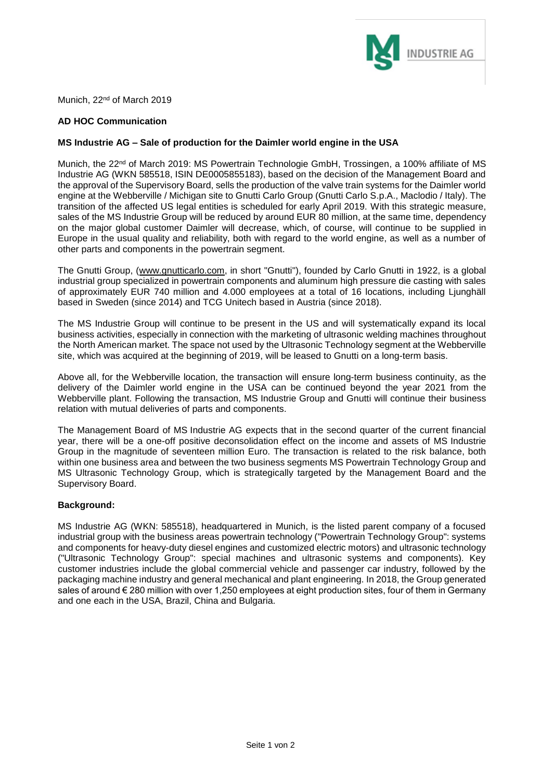

Munich, 22<sup>nd</sup> of March 2019

## **AD HOC Communication**

## **MS Industrie AG – Sale of production for the Daimler world engine in the USA**

Munich, the 22<sup>nd</sup> of March 2019: MS Powertrain Technologie GmbH, Trossingen, a 100% affiliate of MS Industrie AG (WKN 585518, ISIN DE0005855183), based on the decision of the Management Board and the approval of the Supervisory Board, sells the production of the valve train systems for the Daimler world engine at the Webberville / Michigan site to Gnutti Carlo Group (Gnutti Carlo S.p.A., Maclodio / Italy). The transition of the affected US legal entities is scheduled for early April 2019. With this strategic measure, sales of the MS Industrie Group will be reduced by around EUR 80 million, at the same time, dependency on the major global customer Daimler will decrease, which, of course, will continue to be supplied in Europe in the usual quality and reliability, both with regard to the world engine, as well as a number of other parts and components in the powertrain segment.

The Gnutti Group, [\(www.gnutticarlo.com,](http://www.gnutticarlo.com/) in short "Gnutti"), founded by Carlo Gnutti in 1922, is a global industrial group specialized in powertrain components and aluminum high pressure die casting with sales of approximately EUR 740 million and 4.000 employees at a total of 16 locations, including Ljunghäll based in Sweden (since 2014) and TCG Unitech based in Austria (since 2018).

The MS Industrie Group will continue to be present in the US and will systematically expand its local business activities, especially in connection with the marketing of ultrasonic welding machines throughout the North American market. The space not used by the Ultrasonic Technology segment at the Webberville site, which was acquired at the beginning of 2019, will be leased to Gnutti on a long-term basis.

Above all, for the Webberville location, the transaction will ensure long-term business continuity, as the delivery of the Daimler world engine in the USA can be continued beyond the year 2021 from the Webberville plant. Following the transaction, MS Industrie Group and Gnutti will continue their business relation with mutual deliveries of parts and components.

The Management Board of MS Industrie AG expects that in the second quarter of the current financial year, there will be a one-off positive deconsolidation effect on the income and assets of MS Industrie Group in the magnitude of seventeen million Euro. The transaction is related to the risk balance, both within one business area and between the two business segments MS Powertrain Technology Group and MS Ultrasonic Technology Group, which is strategically targeted by the Management Board and the Supervisory Board.

## **Background:**

MS Industrie AG (WKN: 585518), headquartered in Munich, is the listed parent company of a focused industrial group with the business areas powertrain technology ("Powertrain Technology Group": systems and components for heavy-duty diesel engines and customized electric motors) and ultrasonic technology ("Ultrasonic Technology Group": special machines and ultrasonic systems and components). Key customer industries include the global commercial vehicle and passenger car industry, followed by the packaging machine industry and general mechanical and plant engineering. In 2018, the Group generated sales of around € 280 million with over 1,250 employees at eight production sites, four of them in Germany and one each in the USA, Brazil, China and Bulgaria.